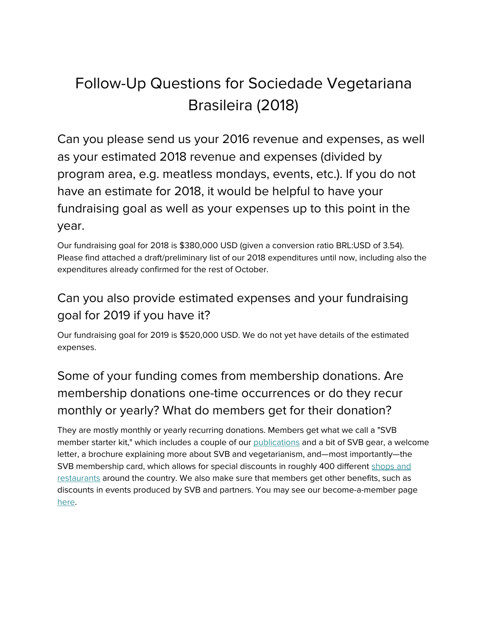# Follow-Up Questions for Sociedade Vegetariana Brasileira (2018)

Can you please send us your 2016 revenue and expenses, as well as your estimated 2018 revenue and expenses (divided by program area, e.g. meatless mondays, events, etc.). If you do not have an estimate for 2018, it would be helpful to have your fundraising goal as well as your expenses up to this point in the year.

Our fundraising goal for 2018 is \$380,000 USD (given a conversion ratio BRL:USD of 3.54). Please find attached a draft/preliminary list of our 2018 expenditures until now, including also the expenditures already confirmed for the rest of October.

### Can you also provide estimated expenses and your fundraising goal for 2019 if you have it?

Our fundraising goal for 2019 is \$520,000 USD. We do not yet have details of the estimated expenses.

## Some of your funding comes from membership donations. Are membership donations one-time occurrences or do they recur monthly or yearly? What do members get for their donation?

They are mostly monthly or yearly recurring donations. Members get what we call a "SVB member starter kit," which includes a couple of our [publications](https://www.svb.org.br/publicacoes/livros) and a bit of SVB gear, a welcome letter, a brochure explaining more about SVB and vegetarianism, and—most importantly—the SVB membership card, which allows for special discounts in roughly 400 different [shops](https://www.svb.org.br/junte-se/convenios) and [restaurants](https://www.svb.org.br/junte-se/convenios) around the country. We also make sure that members get other benefits, such as discounts in events produced by SVB and partners. You may see our become-a-member pag[e](http://svb.org.br/filiacao/) [here](http://svb.org.br/filiacao/).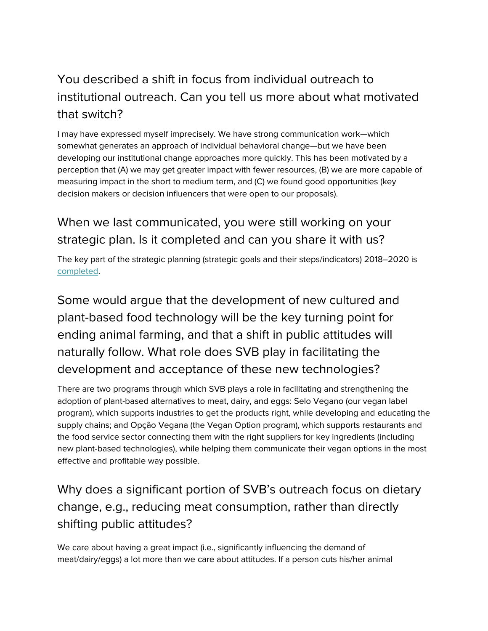### You described a shift in focus from individual outreach to institutional outreach. Can you tell us more about what motivated that switch?

I may have expressed myself imprecisely. We have strong communication work—which somewhat generates an approach of individual behavioral change—but we have been developing our institutional change approaches more quickly. This has been motivated by a perception that (A) we may get greater impact with fewer resources, (B) we are more capable of measuring impact in the short to medium term, and (C) we found good opportunities (key decision makers or decision influencers that were open to our proposals).

#### When we last communicated, you were still working on your strategic plan. Is it completed and can you share it with us?

The key part of the strategic planning (strategic goals and their steps/indicators) 2018–2020 is [completed](https://drive.google.com/file/d/0B2fLuqBhMj-Vc3ZMa3ktNUpQdDA0YXlpclJ6dm0wV1JvRjA4/view).

Some would argue that the development of new cultured and plant-based food technology will be the key turning point for ending animal farming, and that a shift in public attitudes will naturally follow. What role does SVB play in facilitating the development and acceptance of these new technologies?

There are two programs through which SVB plays a role in facilitating and strengthening the adoption of plant-based alternatives to meat, dairy, and eggs: Selo Vegano (our vegan label program), which supports industries to get the products right, while developing and educating the supply chains; and Opção Vegana (the Vegan Option program), which supports restaurants and the food service sector connecting them with the right suppliers for key ingredients (including new plant-based technologies), while helping them communicate their vegan options in the most effective and profitable way possible.

### Why does a significant portion of SVB's outreach focus on dietary change, e.g., reducing meat consumption, rather than directly shifting public attitudes?

We care about having a great impact (i.e., significantly influencing the demand of meat/dairy/eggs) a lot more than we care about attitudes. If a person cuts his/her animal